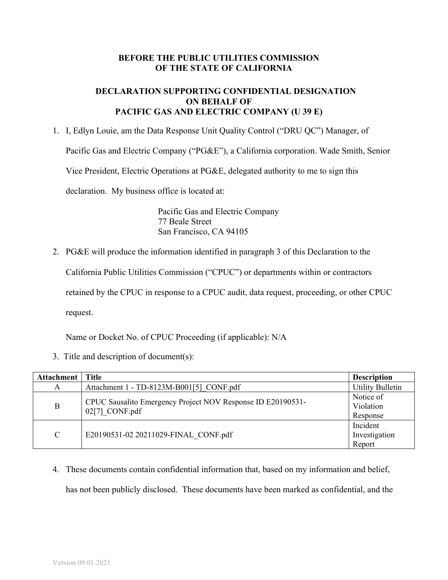## **BEFORE THE PUBLIC UTILITIES COMMISSION OF THE STATE OF CALIFORNIA**

## **DECLARATION SUPPORTING CONFIDENTIAL DESIGNATION ON BEHALF OF PACIFIC GAS AND ELECTRIC COMPANY (U 39 E)**

1. I, Edlyn Louie, am the Data Response Unit Quality Control ("DRU QC") Manager, of Pacific Gas and Electric Company ("PG&E"), a California corporation. Wade Smith, Senior Vice President, Electric Operations at PG&E, delegated authority to me to sign this declaration. My business office is located at:

> Pacific Gas and Electric Company 77 Beale Street San Francisco, CA 94105

2. PG&E will produce the information identified in paragraph 3 of this Declaration to the

California Public Utilities Commission ("CPUC") or departments within or contractors

retained by the CPUC in response to a CPUC audit, data request, proceeding, or other CPUC

request.

Name or Docket No. of CPUC Proceeding (if applicable): N/A

3. Title and description of document(s):

| Attachment    | Title                                                                           | <b>Description</b>                  |
|---------------|---------------------------------------------------------------------------------|-------------------------------------|
| A             | Attachment 1 - TD-8123M-B001[5] CONF.pdf                                        | <b>Utility Bulletin</b>             |
| B             | CPUC Sausalito Emergency Project NOV Response ID E20190531-<br>$02[7]$ CONF.pdf | Notice of<br>Violation<br>Response  |
| $\mathcal{C}$ | E20190531-02 20211029-FINAL CONF.pdf                                            | Incident<br>Investigation<br>Report |

4. These documents contain confidential information that, based on my information and belief, has not been publicly disclosed. These documents have been marked as confidential, and the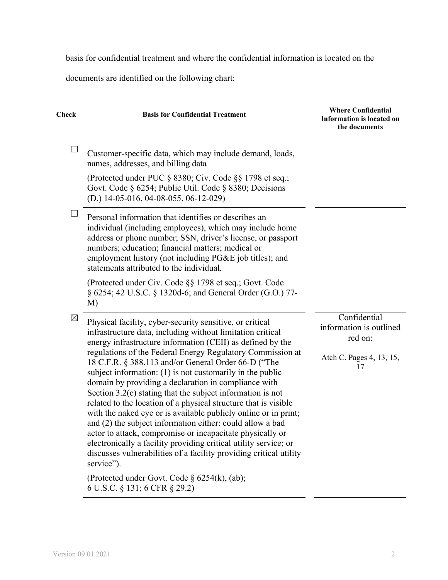basis for confidential treatment and where the confidential information is located on the

documents are identified on the following chart:

| Check       | <b>Basis for Confidential Treatment</b>                                                                                                                                                                                                                                                                                                                                                                                                                                                                                                                                                                                                                                                                                          | <b>Where Confidential</b><br><b>Information is located on</b><br>the documents |
|-------------|----------------------------------------------------------------------------------------------------------------------------------------------------------------------------------------------------------------------------------------------------------------------------------------------------------------------------------------------------------------------------------------------------------------------------------------------------------------------------------------------------------------------------------------------------------------------------------------------------------------------------------------------------------------------------------------------------------------------------------|--------------------------------------------------------------------------------|
| $\Box$      | Customer-specific data, which may include demand, loads,<br>names, addresses, and billing data                                                                                                                                                                                                                                                                                                                                                                                                                                                                                                                                                                                                                                   |                                                                                |
|             | (Protected under PUC § 8380; Civ. Code §§ 1798 et seq.;<br>Govt. Code § 6254; Public Util. Code § 8380; Decisions<br>$(D.)$ 14-05-016, 04-08-055, 06-12-029)                                                                                                                                                                                                                                                                                                                                                                                                                                                                                                                                                                     |                                                                                |
|             | Personal information that identifies or describes an<br>individual (including employees), which may include home<br>address or phone number; SSN, driver's license, or passport<br>numbers; education; financial matters; medical or<br>employment history (not including PG&E job titles); and<br>statements attributed to the individual.                                                                                                                                                                                                                                                                                                                                                                                      |                                                                                |
|             | (Protected under Civ. Code §§ 1798 et seq.; Govt. Code<br>§ 6254; 42 U.S.C. § 1320d-6; and General Order (G.O.) 77-<br>M                                                                                                                                                                                                                                                                                                                                                                                                                                                                                                                                                                                                         |                                                                                |
| $\boxtimes$ | Physical facility, cyber-security sensitive, or critical<br>infrastructure data, including without limitation critical<br>energy infrastructure information (CEII) as defined by the                                                                                                                                                                                                                                                                                                                                                                                                                                                                                                                                             | Confidential<br>information is outlined<br>red on:                             |
|             | regulations of the Federal Energy Regulatory Commission at<br>18 C.F.R. § 388.113 and/or General Order 66-D ("The<br>subject information: $(1)$ is not customarily in the public<br>domain by providing a declaration in compliance with<br>Section $3.2(c)$ stating that the subject information is not<br>related to the location of a physical structure that is visible<br>with the naked eye or is available publicly online or in print;<br>and (2) the subject information either: could allow a bad<br>actor to attack, compromise or incapacitate physically or<br>electronically a facility providing critical utility service; or<br>discusses vulnerabilities of a facility providing critical utility<br>service"). | Atch C. Pages 4, 13, 15,<br>17                                                 |
|             | (Protected under Govt. Code $\S$ 6254(k), (ab);                                                                                                                                                                                                                                                                                                                                                                                                                                                                                                                                                                                                                                                                                  |                                                                                |

6 U.S.C. § 131; 6 CFR § 29.2)